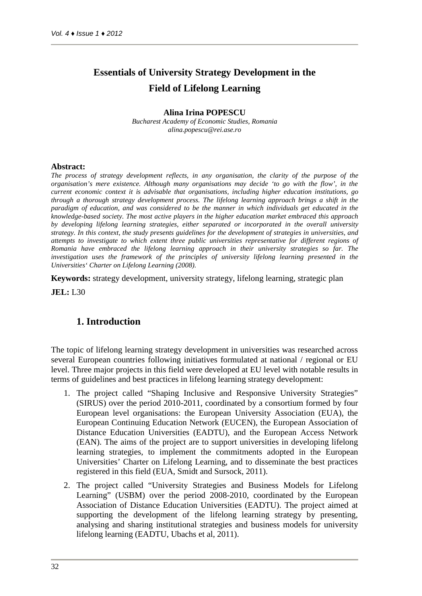# **Essentials of University Strategy Development in the Field of Lifelong Learning**

#### **Alina Irina POPESCU**

*Bucharest Academy of Economic Studies, Romania alina.popescu@rei.ase.ro*

#### **Abstract:**

*The process of strategy development reflects, in any organisation, the clarity of the purpose of the organisation's mere existence. Although many organisations may decide 'to go with the flow', in the current economic context it is advisable that organisations, including higher education institutions, go through a thorough strategy development process. The lifelong learning approach brings a shift in the paradigm of education, and was considered to be the manner in which individuals get educated in the knowledge-based society. The most active players in the higher education market embraced this approach by developing lifelong learning strategies, either separated or incorporated in the overall university strategy. In this context, the study presents guidelines for the development of strategies in universities, and attempts to investigate to which extent three public universities representative for different regions of Romania have embraced the lifelong learning approach in their university strategies so far. The investigation uses the framework of the principles of university lifelong learning presented in the Universities' Charter on Lifelong Learning (2008).*

**Keywords:** strategy development, university strategy, lifelong learning, strategic plan

**JEL:** L30

### **1. Introduction**

The topic of lifelong learning strategy development in universities was researched across several European countries following initiatives formulated at national / regional or EU level. Three major projects in this field were developed at EU level with notable results in terms of guidelines and best practices in lifelong learning strategy development:

- 1. The project called "Shaping Inclusive and Responsive University Strategies" (SIRUS) over the period 2010-2011, coordinated by a consortium formed by four European level organisations: the European University Association (EUA), the European Continuing Education Network (EUCEN), the European Association of Distance Education Universities (EADTU), and the European Access Network (EAN). The aims of the project are to support universities in developing lifelong learning strategies, to implement the commitments adopted in the European Universities' Charter on Lifelong Learning, and to disseminate the best practices registered in this field (EUA, Smidt and Sursock, 2011).
- 2. The project called "University Strategies and Business Models for Lifelong Learning" (USBM) over the period 2008-2010, coordinated by the European Association of Distance Education Universities (EADTU). The project aimed at supporting the development of the lifelong learning strategy by presenting, analysing and sharing institutional strategies and business models for university lifelong learning (EADTU, Ubachs et al, 2011).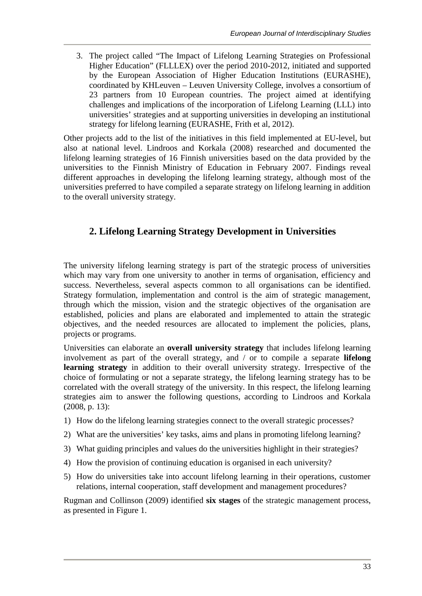3. The project called "The Impact of Lifelong Learning Strategies on Professional Higher Education" (FLLLEX) over the period 2010-2012, initiated and supported by the European Association of Higher Education Institutions (EURASHE), coordinated by KHLeuven – Leuven University College, involves a consortium of 23 partners from 10 European countries. The project aimed at identifying challenges and implications of the incorporation of Lifelong Learning (LLL) into universities' strategies and at supporting universities in developing an institutional strategy for lifelong learning (EURASHE, Frith et al, 2012).

Other projects add to the list of the initiatives in this field implemented at EU-level, but also at national level. Lindroos and Korkala (2008) researched and documented the lifelong learning strategies of 16 Finnish universities based on the data provided by the universities to the Finnish Ministry of Education in February 2007. Findings reveal different approaches in developing the lifelong learning strategy, although most of the universities preferred to have compiled a separate strategy on lifelong learning in addition to the overall university strategy.

## **2. Lifelong Learning Strategy Development in Universities**

The university lifelong learning strategy is part of the strategic process of universities which may vary from one university to another in terms of organisation, efficiency and success. Nevertheless, several aspects common to all organisations can be identified. Strategy formulation, implementation and control is the aim of strategic management, through which the mission, vision and the strategic objectives of the organisation are established, policies and plans are elaborated and implemented to attain the strategic objectives, and the needed resources are allocated to implement the policies, plans, projects or programs.

Universities can elaborate an **overall university strategy** that includes lifelong learning involvement as part of the overall strategy, and / or to compile a separate **lifelong learning strategy** in addition to their overall university strategy. Irrespective of the choice of formulating or not a separate strategy, the lifelong learning strategy has to be correlated with the overall strategy of the university. In this respect, the lifelong learning strategies aim to answer the following questions, according to Lindroos and Korkala (2008, p. 13):

- 1) How do the lifelong learning strategies connect to the overall strategic processes?
- 2) What are the universities' key tasks, aims and plans in promoting lifelong learning?
- 3) What guiding principles and values do the universities highlight in their strategies?
- 4) How the provision of continuing education is organised in each university?
- 5) How do universities take into account lifelong learning in their operations, customer relations, internal cooperation, staff development and management procedures?

Rugman and Collinson (2009) identified **six stages** of the strategic management process, as presented in Figure 1.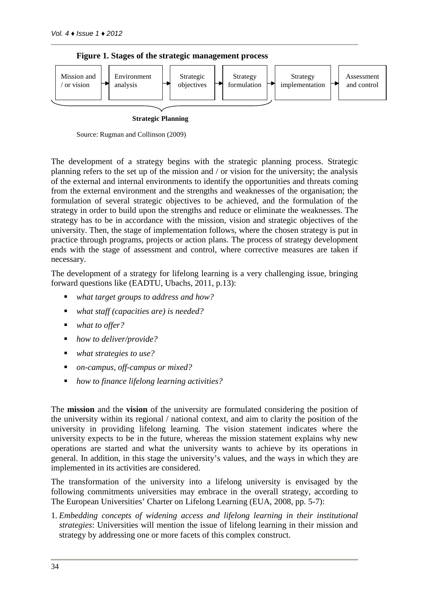

**Figure 1. Stages of the strategic management process**

**Strategic Planning**

Source: Rugman and Collinson (2009)

The development of a strategy begins with the strategic planning process. Strategic planning refers to the set up of the mission and / or vision for the university; the analysis of the external and internal environments to identify the opportunities and threats coming from the external environment and the strengths and weaknesses of the organisation; the formulation of several strategic objectives to be achieved, and the formulation of the strategy in order to build upon the strengths and reduce or eliminate the weaknesses. The strategy has to be in accordance with the mission, vision and strategic objectives of the university. Then, the stage of implementation follows, where the chosen strategy is put in practice through programs, projects or action plans. The process of strategy development ends with the stage of assessment and control, where corrective measures are taken if necessary.

The development of a strategy for lifelong learning is a very challenging issue, bringing forward questions like (EADTU, Ubachs, 2011, p.13):

- *what target groups to address and how?*
- *what staff (capacities are) is needed?*
- *what to offer?*
- *how to deliver/provide?*
- *what strategies to use?*
- *on-campus, off-campus or mixed?*
- *how to finance lifelong learning activities?*

The **mission** and the **vision** of the university are formulated considering the position of the university within its regional / national context, and aim to clarity the position of the university in providing lifelong learning. The vision statement indicates where the university expects to be in the future, whereas the mission statement explains why new operations are started and what the university wants to achieve by its operations in general. In addition, in this stage the university's values, and the ways in which they are implemented in its activities are considered.

The transformation of the university into a lifelong university is envisaged by the following commitments universities may embrace in the overall strategy, according to The European Universities' Charter on Lifelong Learning (EUA, 2008, pp. 5-7):

1. *Embedding concepts of widening access and lifelong learning in their institutional strategies*: Universities will mention the issue of lifelong learning in their mission and strategy by addressing one or more facets of this complex construct.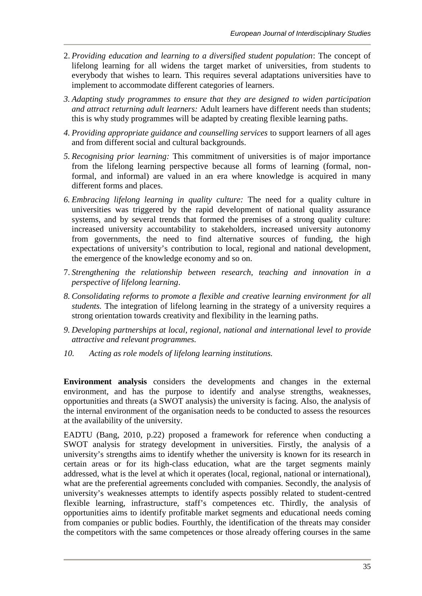- 2. *Providing education and learning to a diversified student population*: The concept of lifelong learning for all widens the target market of universities, from students to everybody that wishes to learn. This requires several adaptations universities have to implement to accommodate different categories of learners.
- *3. Adapting study programmes to ensure that they are designed to widen participation and attract returning adult learners:* Adult learners have different needs than students; this is why study programmes will be adapted by creating flexible learning paths.
- *4. Providing appropriate guidance and counselling services* to support learners of all ages and from different social and cultural backgrounds.
- *5. Recognising prior learning:* This commitment of universities is of major importance from the lifelong learning perspective because all forms of learning (formal, nonformal, and informal) are valued in an era where knowledge is acquired in many different forms and places.
- *6. Embracing lifelong learning in quality culture:* The need for a quality culture in universities was triggered by the rapid development of national quality assurance systems, and by several trends that formed the premises of a strong quality culture: increased university accountability to stakeholders, increased university autonomy from governments, the need to find alternative sources of funding, the high expectations of university's contribution to local, regional and national development, the emergence of the knowledge economy and so on.
- 7. *Strengthening the relationship between research, teaching and innovation in a perspective of lifelong learning*.
- *8. Consolidating reforms to promote a flexible and creative learning environment for all students.* The integration of lifelong learning in the strategy of a university requires a strong orientation towards creativity and flexibility in the learning paths.
- *9. Developing partnerships at local, regional, national and international level to provide attractive and relevant programmes.*
- *10. Acting as role models of lifelong learning institutions.*

**Environment analysis** considers the developments and changes in the external environment, and has the purpose to identify and analyse strengths, weaknesses, opportunities and threats (a SWOT analysis) the university is facing. Also, the analysis of the internal environment of the organisation needs to be conducted to assess the resources at the availability of the university.

EADTU (Bang, 2010, p.22) proposed a framework for reference when conducting a SWOT analysis for strategy development in universities. Firstly, the analysis of a university's strengths aims to identify whether the university is known for its research in certain areas or for its high-class education, what are the target segments mainly addressed, what is the level at which it operates (local, regional, national or international), what are the preferential agreements concluded with companies. Secondly, the analysis of university's weaknesses attempts to identify aspects possibly related to student-centred flexible learning, infrastructure, staff's competences etc. Thirdly, the analysis of opportunities aims to identify profitable market segments and educational needs coming from companies or public bodies. Fourthly, the identification of the threats may consider the competitors with the same competences or those already offering courses in the same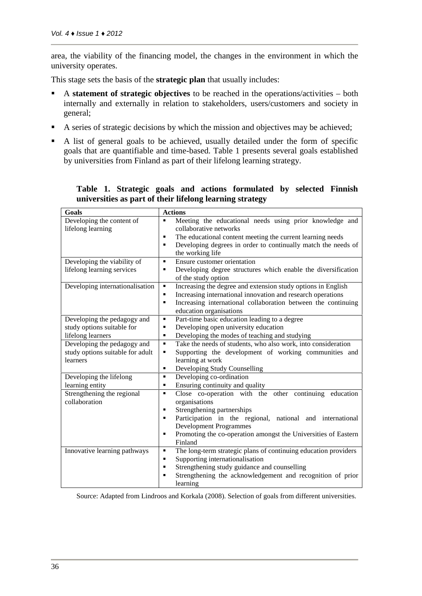area, the viability of the financing model, the changes in the environment in which the university operates.

This stage sets the basis of the **strategic plan** that usually includes:

- A **statement of strategic objectives** to be reached in the operations/activities both internally and externally in relation to stakeholders, users/customers and society in general;
- A series of strategic decisions by which the mission and objectives may be achieved;
- A list of general goals to be achieved, usually detailed under the form of specific goals that are quantifiable and time-based. Table 1 presents several goals established by universities from Finland as part of their lifelong learning strategy.

| Goals                                                                       | <b>Actions</b>                                                                                                                                                                                                                                                                                       |
|-----------------------------------------------------------------------------|------------------------------------------------------------------------------------------------------------------------------------------------------------------------------------------------------------------------------------------------------------------------------------------------------|
| Developing the content of<br>lifelong learning                              | Meeting the educational needs using prior knowledge and<br>٠<br>collaborative networks                                                                                                                                                                                                               |
|                                                                             | The educational content meeting the current learning needs<br>٠                                                                                                                                                                                                                                      |
|                                                                             | Developing degrees in order to continually match the needs of<br>٠<br>the working life                                                                                                                                                                                                               |
| Developing the viability of<br>lifelong learning services                   | Ensure customer orientation<br>٠<br>Developing degree structures which enable the diversification<br>٠<br>of the study option                                                                                                                                                                        |
| Developing internationalisation                                             | Increasing the degree and extension study options in English<br>٠<br>Increasing international innovation and research operations<br>٠<br>Increasing international collaboration between the continuing<br>٠<br>education organisations                                                               |
| Developing the pedagogy and                                                 | Part-time basic education leading to a degree<br>٠                                                                                                                                                                                                                                                   |
| study options suitable for                                                  | Developing open university education<br>٠                                                                                                                                                                                                                                                            |
| lifelong learners                                                           | Developing the modes of teaching and studying<br>٠                                                                                                                                                                                                                                                   |
| Developing the pedagogy and<br>study options suitable for adult<br>learners | Take the needs of students, who also work, into consideration<br>$\blacksquare$<br>Supporting the development of working communities and<br>٠<br>learning at work<br>Developing Study Counselling<br>٠                                                                                               |
| Developing the lifelong                                                     | Developing co-ordination<br>٠                                                                                                                                                                                                                                                                        |
| learning entity                                                             | Ensuring continuity and quality<br>٠                                                                                                                                                                                                                                                                 |
| Strengthening the regional<br>collaboration                                 | Close co-operation with the other continuing education<br>٠<br>organisations<br>Strengthening partnerships<br>٠<br>Participation in the regional, national and international<br>٠<br><b>Development Programmes</b><br>Promoting the co-operation amongst the Universities of Eastern<br>п<br>Finland |
| Innovative learning pathways                                                | The long-term strategic plans of continuing education providers<br>٠                                                                                                                                                                                                                                 |
|                                                                             | Supporting internationalisation<br>٠                                                                                                                                                                                                                                                                 |
|                                                                             | Strengthening study guidance and counselling<br>٠                                                                                                                                                                                                                                                    |
|                                                                             | Strengthening the acknowledgement and recognition of prior<br>٠                                                                                                                                                                                                                                      |
|                                                                             | learning                                                                                                                                                                                                                                                                                             |

**Table 1. Strategic goals and actions formulated by selected Finnish universities as part of their lifelong learning strategy**

Source: Adapted from Lindroos and Korkala (2008). Selection of goals from different universities.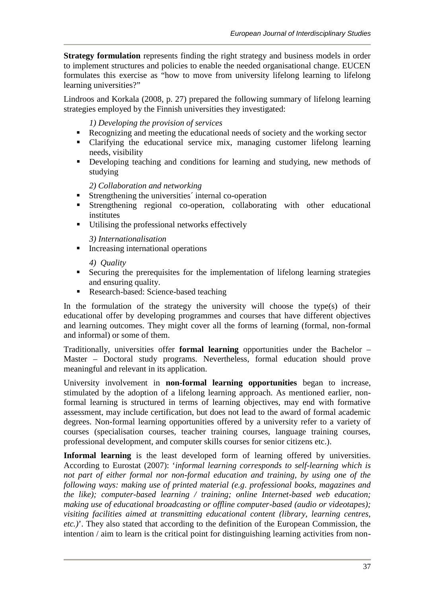**Strategy formulation** represents finding the right strategy and business models in order to implement structures and policies to enable the needed organisational change. EUCEN formulates this exercise as "how to move from university lifelong learning to lifelong learning universities?"

Lindroos and Korkala (2008, p. 27) prepared the following summary of lifelong learning strategies employed by the Finnish universities they investigated:

*1) Developing the provision of services*

- Recognizing and meeting the educational needs of society and the working sector
- Clarifying the educational service mix, managing customer lifelong learning needs, visibility
- Developing teaching and conditions for learning and studying, new methods of studying

*2) Collaboration and networking*

- **Strengthening the universities' internal co-operation**
- Strengthening regional co-operation, collaborating with other educational institutes
- Utilising the professional networks effectively

*3) Internationalisation*

**Increasing international operations** 

*4) Quality*

- Securing the prerequisites for the implementation of lifelong learning strategies and ensuring quality.
- Research-based: Science-based teaching

In the formulation of the strategy the university will choose the type(s) of their educational offer by developing programmes and courses that have different objectives and learning outcomes. They might cover all the forms of learning (formal, non-formal and informal) or some of them.

Traditionally, universities offer **formal learning** opportunities under the Bachelor – Master – Doctoral study programs. Nevertheless, formal education should prove meaningful and relevant in its application.

University involvement in **non-formal learning opportunities** began to increase, stimulated by the adoption of a lifelong learning approach. As mentioned earlier, nonformal learning is structured in terms of learning objectives, may end with formative assessment, may include certification, but does not lead to the award of formal academic degrees. Non-formal learning opportunities offered by a university refer to a variety of courses (specialisation courses, teacher training courses, language training courses, professional development, and computer skills courses for senior citizens etc.).

**Informal learning** is the least developed form of learning offered by universities. According to Eurostat (2007): '*informal learning corresponds to self-learning which is not part of either formal nor non-formal education and training, by using one of the following ways: making use of printed material (e.g. professional books, magazines and the like); computer-based learning / training; online Internet-based web education; making use of educational broadcasting or offline computer-based (audio or videotapes); visiting facilities aimed at transmitting educational content (library, learning centres, etc.)*'. They also stated that according to the definition of the European Commission, the intention / aim to learn is the critical point for distinguishing learning activities from non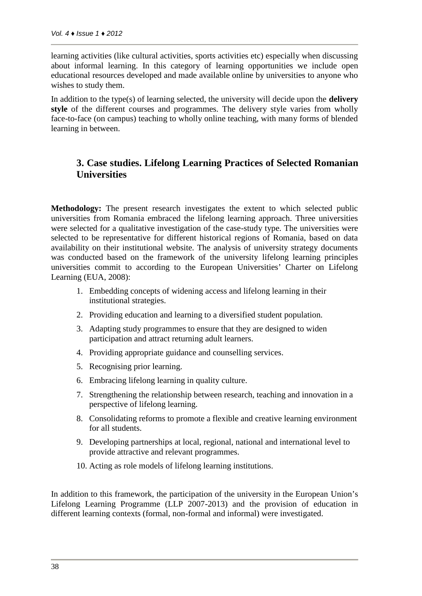learning activities (like cultural activities, sports activities etc) especially when discussing about informal learning. In this category of learning opportunities we include open educational resources developed and made available online by universities to anyone who wishes to study them.

In addition to the type(s) of learning selected, the university will decide upon the **delivery** style of the different courses and programmes. The delivery style varies from wholly face-to-face (on campus) teaching to wholly online teaching, with many forms of blended learning in between.

### **3. Case studies. Lifelong Learning Practices of Selected Romanian Universities**

**Methodology:** The present research investigates the extent to which selected public universities from Romania embraced the lifelong learning approach. Three universities were selected for a qualitative investigation of the case-study type. The universities were selected to be representative for different historical regions of Romania, based on data availability on their institutional website. The analysis of university strategy documents was conducted based on the framework of the university lifelong learning principles universities commit to according to the European Universities' Charter on Lifelong Learning (EUA, 2008):

- 1. Embedding concepts of widening access and lifelong learning in their institutional strategies.
- 2. Providing education and learning to a diversified student population.
- 3. Adapting study programmes to ensure that they are designed to widen participation and attract returning adult learners.
- 4. Providing appropriate guidance and counselling services.
- 5. Recognising prior learning.
- 6. Embracing lifelong learning in quality culture.
- 7. Strengthening the relationship between research, teaching and innovation in a perspective of lifelong learning.
- 8. Consolidating reforms to promote a flexible and creative learning environment for all students.
- 9. Developing partnerships at local, regional, national and international level to provide attractive and relevant programmes.
- 10. Acting as role models of lifelong learning institutions.

In addition to this framework, the participation of the university in the European Union's Lifelong Learning Programme (LLP 2007-2013) and the provision of education in different learning contexts (formal, non-formal and informal) were investigated.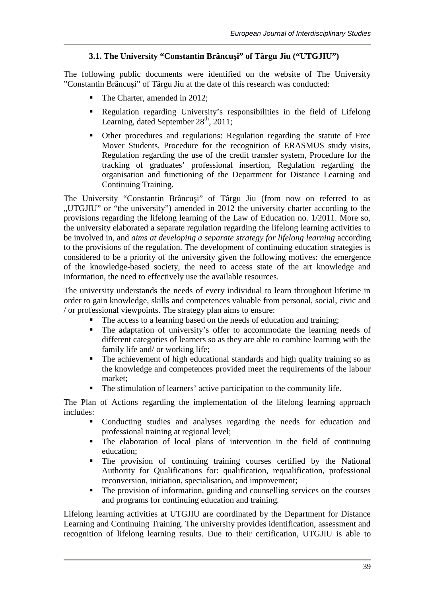#### **3.1. The University "Constantin Brâncu i" of Târgu Jiu ("UTGJIU")**

The following public documents were identified on the website of The University "Constantin Brâncu i" of Târgu Jiu at the date of this research was conducted:

- The Charter, amended in 2012;
- Regulation regarding University's responsibilities in the field of Lifelong Learning, dated September  $28<sup>th</sup>$ , 2011;
- Other procedures and regulations: Regulation regarding the statute of Free Mover Students, Procedure for the recognition of ERASMUS study visits, Regulation regarding the use of the credit transfer system, Procedure for the tracking of graduates' professional insertion, Regulation regarding the organisation and functioning of the Department for Distance Learning and Continuing Training.

The University "Constantin Brâncu i" of Târgu Jiu (from now on referred to as ".UTGJIU" or "the university") amended in 2012 the university charter according to the provisions regarding the lifelong learning of the Law of Education no. 1/2011. More so, the university elaborated a separate regulation regarding the lifelong learning activities to be involved in, and *aims at developing a separate strategy for lifelong learning* according to the provisions of the regulation. The development of continuing education strategies is considered to be a priority of the university given the following motives: the emergence of the knowledge-based society, the need to access state of the art knowledge and information, the need to effectively use the available resources.

The university understands the needs of every individual to learn throughout lifetime in order to gain knowledge, skills and competences valuable from personal, social, civic and / or professional viewpoints. The strategy plan aims to ensure:

- The access to a learning based on the needs of education and training;
- The adaptation of university's offer to accommodate the learning needs of different categories of learners so as they are able to combine learning with the family life and/ or working life;
- The achievement of high educational standards and high quality training so as the knowledge and competences provided meet the requirements of the labour market;
- The stimulation of learners' active participation to the community life.

The Plan of Actions regarding the implementation of the lifelong learning approach includes:

- Conducting studies and analyses regarding the needs for education and professional training at regional level;
- The elaboration of local plans of intervention in the field of continuing education;
- The provision of continuing training courses certified by the National Authority for Qualifications for: qualification, requalification, professional reconversion, initiation, specialisation, and improvement;
- The provision of information, guiding and counselling services on the courses and programs for continuing education and training.

Lifelong learning activities at UTGJIU are coordinated by the Department for Distance Learning and Continuing Training. The university provides identification, assessment and recognition of lifelong learning results. Due to their certification, UTGJIU is able to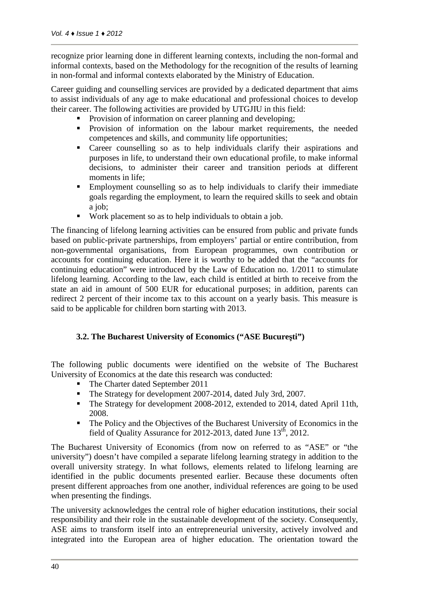recognize prior learning done in different learning contexts, including the non-formal and informal contexts, based on the Methodology for the recognition of the results of learning in non-formal and informal contexts elaborated by the Ministry of Education.

Career guiding and counselling services are provided by a dedicated department that aims to assist individuals of any age to make educational and professional choices to develop their career. The following activities are provided by UTGJIU in this field:

- Provision of information on career planning and developing;
- Provision of information on the labour market requirements, the needed competences and skills, and community life opportunities;
- Career counselling so as to help individuals clarify their aspirations and purposes in life, to understand their own educational profile, to make informal decisions, to administer their career and transition periods at different moments in life:
- Employment counselling so as to help individuals to clarify their immediate goals regarding the employment, to learn the required skills to seek and obtain a job;
- Work placement so as to help individuals to obtain a job.

The financing of lifelong learning activities can be ensured from public and private funds based on public-private partnerships, from employers' partial or entire contribution, from non-governmental organisations, from European programmes, own contribution or accounts for continuing education. Here it is worthy to be added that the "accounts for continuing education" were introduced by the Law of Education no. 1/2011 to stimulate lifelong learning. According to the law, each child is entitled at birth to receive from the state an aid in amount of 500 EUR for educational purposes; in addition, parents can redirect 2 percent of their income tax to this account on a yearly basis. This measure is said to be applicable for children born starting with 2013.

#### **3.2. The Bucharest University of Economics ("ASE Bucure ti")**

The following public documents were identified on the website of The Bucharest University of Economics at the date this research was conducted:

- The Charter dated September 2011
- The Strategy for development 2007-2014, dated July 3rd, 2007.
- The Strategy for development 2008-2012, extended to 2014, dated April 11th, 2008.
- The Policy and the Objectives of the Bucharest University of Economics in the field of Quality Assurance for 2012-2013, dated June  $13<sup>th</sup>$ , 2012.

The Bucharest University of Economics (from now on referred to as "ASE" or "the university") doesn't have compiled a separate lifelong learning strategy in addition to the overall university strategy. In what follows, elements related to lifelong learning are identified in the public documents presented earlier. Because these documents often present different approaches from one another, individual references are going to be used when presenting the findings.

The university acknowledges the central role of higher education institutions, their social responsibility and their role in the sustainable development of the society. Consequently, ASE aims to transform itself into an entrepreneurial university, actively involved and integrated into the European area of higher education. The orientation toward the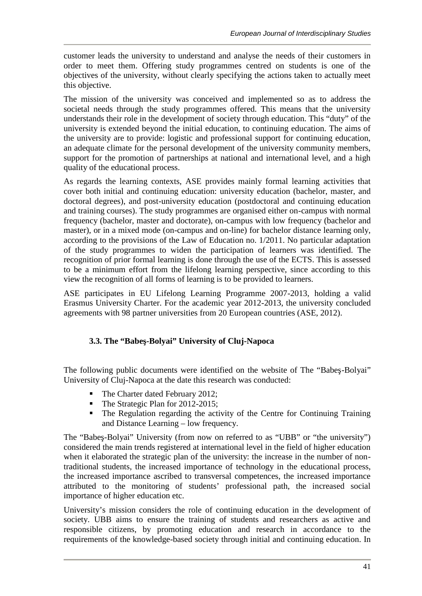customer leads the university to understand and analyse the needs of their customers in order to meet them. Offering study programmes centred on students is one of the objectives of the university, without clearly specifying the actions taken to actually meet this objective.

The mission of the university was conceived and implemented so as to address the societal needs through the study programmes offered. This means that the university understands their role in the development of society through education. This "duty" of the university is extended beyond the initial education, to continuing education. The aims of the university are to provide: logistic and professional support for continuing education, an adequate climate for the personal development of the university community members, support for the promotion of partnerships at national and international level, and a high quality of the educational process.

As regards the learning contexts, ASE provides mainly formal learning activities that cover both initial and continuing education: university education (bachelor, master, and doctoral degrees), and post-university education (postdoctoral and continuing education and training courses). The study programmes are organised either on-campus with normal frequency (bachelor, master and doctorate), on-campus with low frequency (bachelor and master), or in a mixed mode (on-campus and on-line) for bachelor distance learning only, according to the provisions of the Law of Education no. 1/2011. No particular adaptation of the study programmes to widen the participation of learners was identified. The recognition of prior formal learning is done through the use of the ECTS. This is assessed to be a minimum effort from the lifelong learning perspective, since according to this view the recognition of all forms of learning is to be provided to learners.

ASE participates in EU Lifelong Learning Programme 2007-2013, holding a valid Erasmus University Charter. For the academic year 2012-2013, the university concluded agreements with 98 partner universities from 20 European countries (ASE, 2012).

#### **3.3. The "Babeş-Bolyai" University of Cluj-Napoca**

The following public documents were identified on the website of The "Babe -Bolyai" University of Cluj-Napoca at the date this research was conducted:

- The Charter dated February 2012;
- The Strategic Plan for 2012-2015;
- The Regulation regarding the activity of the Centre for Continuing Training and Distance Learning – low frequency.

The "Babe -Bolyai" University (from now on referred to as "UBB" or "the university") considered the main trends registered at international level in the field of higher education when it elaborated the strategic plan of the university: the increase in the number of nontraditional students, the increased importance of technology in the educational process, the increased importance ascribed to transversal competences, the increased importance attributed to the monitoring of students' professional path, the increased social importance of higher education etc.

University's mission considers the role of continuing education in the development of society. UBB aims to ensure the training of students and researchers as active and responsible citizens, by promoting education and research in accordance to the requirements of the knowledge-based society through initial and continuing education. In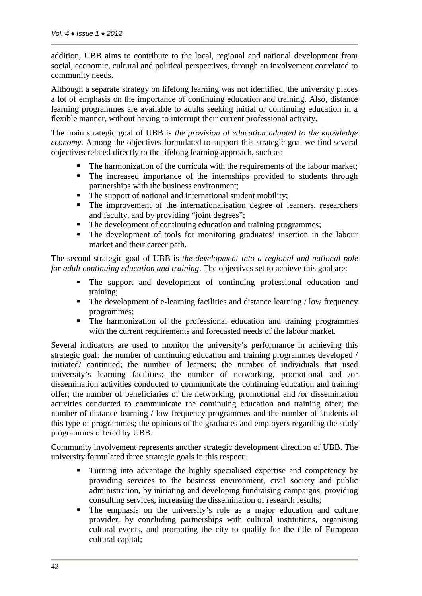addition, UBB aims to contribute to the local, regional and national development from social, economic, cultural and political perspectives, through an involvement correlated to community needs.

Although a separate strategy on lifelong learning was not identified, the university places a lot of emphasis on the importance of continuing education and training. Also, distance learning programmes are available to adults seeking initial or continuing education in a flexible manner, without having to interrupt their current professional activity.

The main strategic goal of UBB is *the provision of education adapted to the knowledge economy*. Among the objectives formulated to support this strategic goal we find several objectives related directly to the lifelong learning approach, such as:

- The harmonization of the curricula with the requirements of the labour market;
- The increased importance of the internships provided to students through partnerships with the business environment;
- The support of national and international student mobility;
- The improvement of the internationalisation degree of learners, researchers and faculty, and by providing "joint degrees";
- The development of continuing education and training programmes;
- The development of tools for monitoring graduates' insertion in the labour market and their career path.

The second strategic goal of UBB is *the development into a regional and national pole for adult continuing education and training*. The objectives set to achieve this goal are:

- The support and development of continuing professional education and training;
- The development of e-learning facilities and distance learning / low frequency programmes;
- The harmonization of the professional education and training programmes with the current requirements and forecasted needs of the labour market.

Several indicators are used to monitor the university's performance in achieving this strategic goal: the number of continuing education and training programmes developed / initiated/ continued; the number of learners; the number of individuals that used university's learning facilities; the number of networking, promotional and /or dissemination activities conducted to communicate the continuing education and training offer; the number of beneficiaries of the networking, promotional and /or dissemination activities conducted to communicate the continuing education and training offer; the number of distance learning / low frequency programmes and the number of students of this type of programmes; the opinions of the graduates and employers regarding the study programmes offered by UBB.

Community involvement represents another strategic development direction of UBB. The university formulated three strategic goals in this respect:

- Turning into advantage the highly specialised expertise and competency by providing services to the business environment, civil society and public administration, by initiating and developing fundraising campaigns, providing consulting services, increasing the dissemination of research results;
- The emphasis on the university's role as a major education and culture provider, by concluding partnerships with cultural institutions, organising cultural events, and promoting the city to qualify for the title of European cultural capital;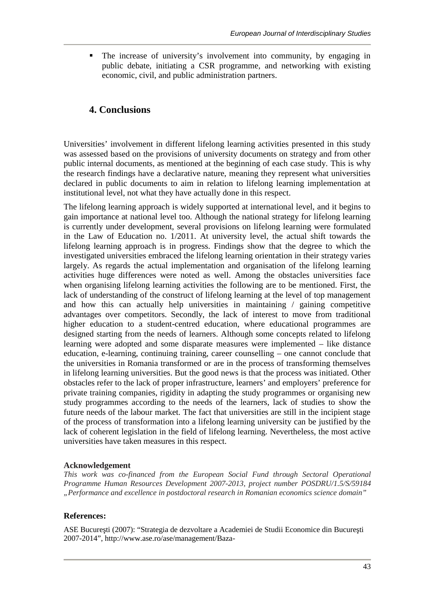The increase of university's involvement into community, by engaging in public debate, initiating a CSR programme, and networking with existing economic, civil, and public administration partners.

### **4. Conclusions**

Universities' involvement in different lifelong learning activities presented in this study was assessed based on the provisions of university documents on strategy and from other public internal documents, as mentioned at the beginning of each case study. This is why the research findings have a declarative nature, meaning they represent what universities declared in public documents to aim in relation to lifelong learning implementation at institutional level, not what they have actually done in this respect.

The lifelong learning approach is widely supported at international level, and it begins to gain importance at national level too. Although the national strategy for lifelong learning is currently under development, several provisions on lifelong learning were formulated in the Law of Education no. 1/2011. At university level, the actual shift towards the lifelong learning approach is in progress. Findings show that the degree to which the investigated universities embraced the lifelong learning orientation in their strategy varies largely. As regards the actual implementation and organisation of the lifelong learning activities huge differences were noted as well. Among the obstacles universities face when organising lifelong learning activities the following are to be mentioned. First, the lack of understanding of the construct of lifelong learning at the level of top management and how this can actually help universities in maintaining / gaining competitive advantages over competitors. Secondly, the lack of interest to move from traditional higher education to a student-centred education, where educational programmes are designed starting from the needs of learners. Although some concepts related to lifelong learning were adopted and some disparate measures were implemented – like distance education, e-learning, continuing training, career counselling – one cannot conclude that the universities in Romania transformed or are in the process of transforming themselves in lifelong learning universities. But the good news is that the process was initiated. Other obstacles refer to the lack of proper infrastructure, learners' and employers' preference for private training companies, rigidity in adapting the study programmes or organising new study programmes according to the needs of the learners, lack of studies to show the future needs of the labour market. The fact that universities are still in the incipient stage of the process of transformation into a lifelong learning university can be justified by the lack of coherent legislation in the field of lifelong learning. Nevertheless, the most active universities have taken measures in this respect.

#### **Acknowledgement**

*This work was co-financed from the European Social Fund through Sectoral Operational Programme Human Resources Development 2007-2013, project number POSDRU/1.5/S/59184 "Performance and excellence in postdoctoral research in Romanian economics science domain"*

#### **References:**

ASE Bucure ti (2007): "Strategia de dezvoltare a Academiei de Studii Economice din Bucure ti 2007-2014", http://www.ase.ro/ase/management/Baza